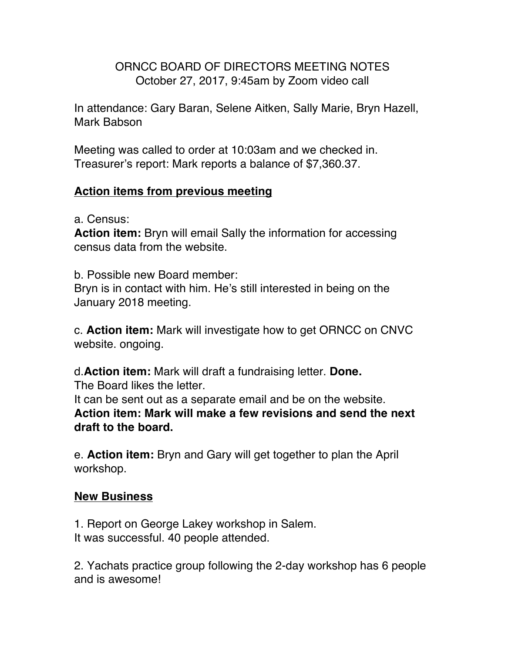## ORNCC BOARD OF DIRECTORS MEETING NOTES October 27, 2017, 9:45am by Zoom video call

In attendance: Gary Baran, Selene Aitken, Sally Marie, Bryn Hazell, Mark Babson

Meeting was called to order at 10:03am and we checked in. Treasurer's report: Mark reports a balance of \$7,360.37.

## **Action items from previous meeting**

a. Census:

**Action item:** Bryn will email Sally the information for accessing census data from the website.

b. Possible new Board member:

Bryn is in contact with him. He's still interested in being on the January 2018 meeting.

c. **Action item:** Mark will investigate how to get ORNCC on CNVC website. ongoing.

d.**Action item:** Mark will draft a fundraising letter. **Done.** The Board likes the letter.

It can be sent out as a separate email and be on the website. **Action item: Mark will make a few revisions and send the next draft to the board.**

e. **Action item:** Bryn and Gary will get together to plan the April workshop.

## **New Business**

1. Report on George Lakey workshop in Salem. It was successful. 40 people attended.

2. Yachats practice group following the 2-day workshop has 6 people and is awesome!